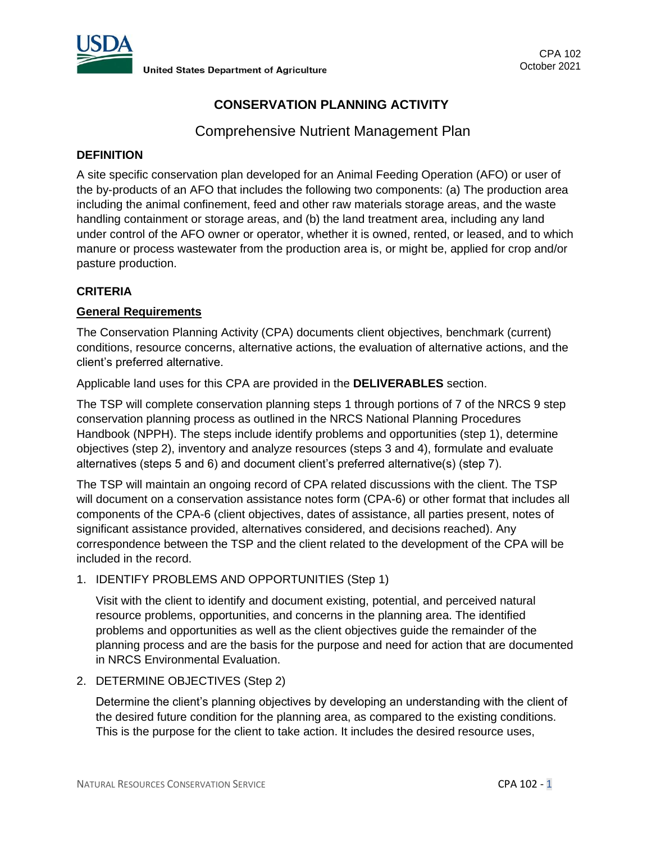

# **CONSERVATION PLANNING ACTIVITY**

Comprehensive Nutrient Management Plan

# **DEFINITION**

A site specific conservation plan developed for an Animal Feeding Operation (AFO) or user of the by-products of an AFO that includes the following two components: (a) The production area including the animal confinement, feed and other raw materials storage areas, and the waste handling containment or storage areas, and (b) the land treatment area, including any land under control of the AFO owner or operator, whether it is owned, rented, or leased, and to which manure or process wastewater from the production area is, or might be, applied for crop and/or pasture production.

# **CRITERIA**

# **General Requirements**

The Conservation Planning Activity (CPA) documents client objectives, benchmark (current) conditions, resource concerns, alternative actions, the evaluation of alternative actions, and the client's preferred alternative.

Applicable land uses for this CPA are provided in the **DELIVERABLES** section.

The TSP will complete conservation planning steps 1 through portions of 7 of the NRCS 9 step conservation planning process as outlined in the NRCS National Planning Procedures Handbook (NPPH). The steps include identify problems and opportunities (step 1), determine objectives (step 2), inventory and analyze resources (steps 3 and 4), formulate and evaluate alternatives (steps 5 and 6) and document client's preferred alternative(s) (step 7).

The TSP will maintain an ongoing record of CPA related discussions with the client. The TSP will document on a conservation assistance notes form (CPA-6) or other format that includes all components of the CPA-6 (client objectives, dates of assistance, all parties present, notes of significant assistance provided, alternatives considered, and decisions reached). Any correspondence between the TSP and the client related to the development of the CPA will be included in the record.

1. IDENTIFY PROBLEMS AND OPPORTUNITIES (Step 1)

Visit with the client to identify and document existing, potential, and perceived natural resource problems, opportunities, and concerns in the planning area. The identified problems and opportunities as well as the client objectives guide the remainder of the planning process and are the basis for the purpose and need for action that are documented in NRCS Environmental Evaluation.

2. DETERMINE OBJECTIVES (Step 2)

Determine the client's planning objectives by developing an understanding with the client of the desired future condition for the planning area, as compared to the existing conditions. This is the purpose for the client to take action. It includes the desired resource uses,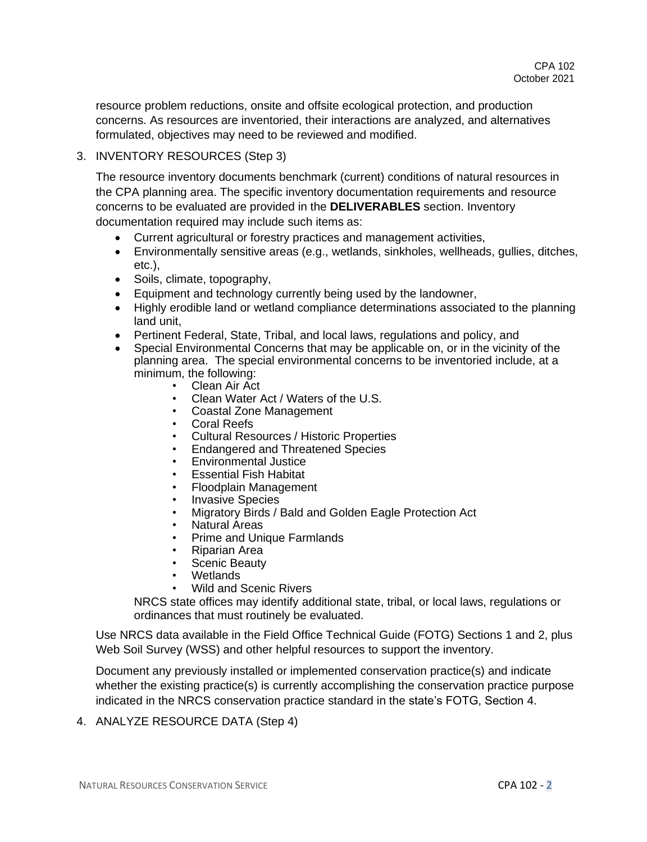resource problem reductions, onsite and offsite ecological protection, and production concerns. As resources are inventoried, their interactions are analyzed, and alternatives formulated, objectives may need to be reviewed and modified.

# 3. INVENTORY RESOURCES (Step 3)

The resource inventory documents benchmark (current) conditions of natural resources in the CPA planning area. The specific inventory documentation requirements and resource concerns to be evaluated are provided in the **DELIVERABLES** section. Inventory documentation required may include such items as:

- Current agricultural or forestry practices and management activities,
- Environmentally sensitive areas (e.g., wetlands, sinkholes, wellheads, gullies, ditches, etc.),
- Soils, climate, topography,
- Equipment and technology currently being used by the landowner,
- Highly erodible land or wetland compliance determinations associated to the planning land unit,
- Pertinent Federal, State, Tribal, and local laws, regulations and policy, and
- Special Environmental Concerns that may be applicable on, or in the vicinity of the planning area. The special environmental concerns to be inventoried include, at a minimum, the following:
	- Clean Air Act
	- Clean Water Act / Waters of the U.S.
	- Coastal Zone Management
	- Coral Reefs
	- Cultural Resources / Historic Properties
	- Endangered and Threatened Species
	- Environmental Justice
	- **Essential Fish Habitat**
	- Floodplain Management
	- **Invasive Species**
	- Migratory Birds / Bald and Golden Eagle Protection Act
	- Natural Areas
	- Prime and Unique Farmlands
	- Riparian Area
	- Scenic Beauty
	- Wetlands
	- Wild and Scenic Rivers

NRCS state offices may identify additional state, tribal, or local laws, regulations or ordinances that must routinely be evaluated.

Use NRCS data available in the Field Office Technical Guide (FOTG) Sections 1 and 2, plus Web Soil Survey (WSS) and other helpful resources to support the inventory.

Document any previously installed or implemented conservation practice(s) and indicate whether the existing practice(s) is currently accomplishing the conservation practice purpose indicated in the NRCS conservation practice standard in the state's FOTG, Section 4.

4. ANALYZE RESOURCE DATA (Step 4)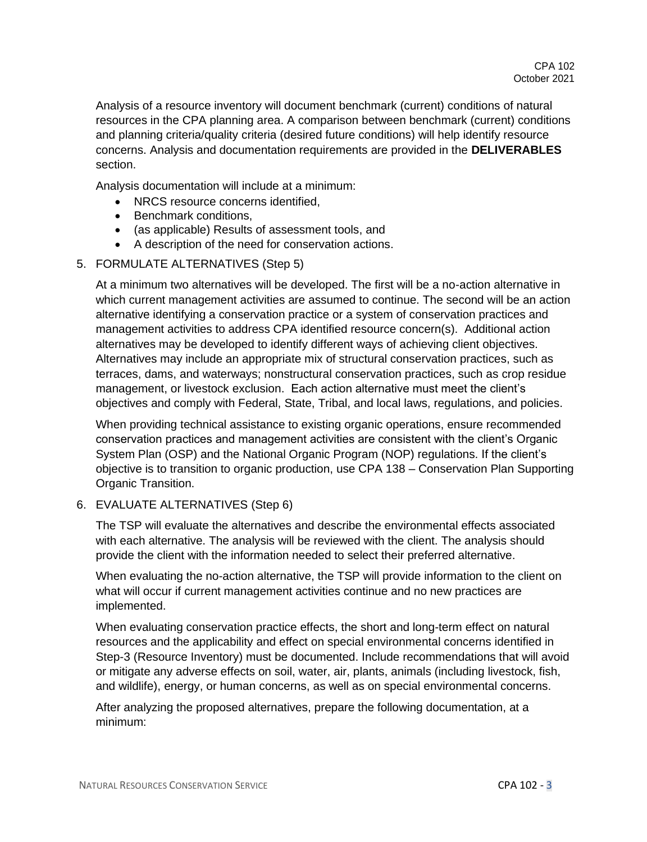Analysis of a resource inventory will document benchmark (current) conditions of natural resources in the CPA planning area. A comparison between benchmark (current) conditions and planning criteria/quality criteria (desired future conditions) will help identify resource concerns. Analysis and documentation requirements are provided in the **DELIVERABLES** section.

Analysis documentation will include at a minimum:

- NRCS resource concerns identified.
- Benchmark conditions,
- (as applicable) Results of assessment tools, and
- A description of the need for conservation actions.
- 5. FORMULATE ALTERNATIVES (Step 5)

At a minimum two alternatives will be developed. The first will be a no-action alternative in which current management activities are assumed to continue. The second will be an action alternative identifying a conservation practice or a system of conservation practices and management activities to address CPA identified resource concern(s). Additional action alternatives may be developed to identify different ways of achieving client objectives. Alternatives may include an appropriate mix of structural conservation practices, such as terraces, dams, and waterways; nonstructural conservation practices, such as crop residue management, or livestock exclusion. Each action alternative must meet the client's objectives and comply with Federal, State, Tribal, and local laws, regulations, and policies.

When providing technical assistance to existing organic operations, ensure recommended conservation practices and management activities are consistent with the client's Organic System Plan (OSP) and the National Organic Program (NOP) regulations. If the client's objective is to transition to organic production, use CPA 138 – Conservation Plan Supporting Organic Transition.

6. EVALUATE ALTERNATIVES (Step 6)

The TSP will evaluate the alternatives and describe the environmental effects associated with each alternative. The analysis will be reviewed with the client. The analysis should provide the client with the information needed to select their preferred alternative.

When evaluating the no-action alternative, the TSP will provide information to the client on what will occur if current management activities continue and no new practices are implemented.

When evaluating conservation practice effects, the short and long-term effect on natural resources and the applicability and effect on special environmental concerns identified in Step-3 (Resource Inventory) must be documented. Include recommendations that will avoid or mitigate any adverse effects on soil, water, air, plants, animals (including livestock, fish, and wildlife), energy, or human concerns, as well as on special environmental concerns.

After analyzing the proposed alternatives, prepare the following documentation, at a minimum: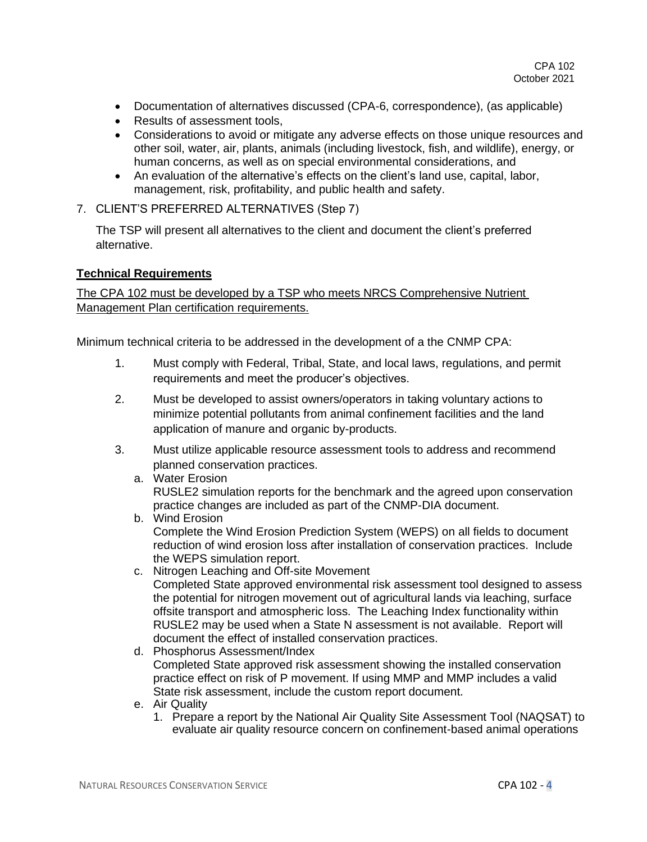- Documentation of alternatives discussed (CPA-6, correspondence), (as applicable)
- Results of assessment tools,
- Considerations to avoid or mitigate any adverse effects on those unique resources and other soil, water, air, plants, animals (including livestock, fish, and wildlife), energy, or human concerns, as well as on special environmental considerations, and
- An evaluation of the alternative's effects on the client's land use, capital, labor, management, risk, profitability, and public health and safety.
- 7. CLIENT'S PREFERRED ALTERNATIVES (Step 7)

The TSP will present all alternatives to the client and document the client's preferred alternative.

#### **Technical Requirements**

The CPA 102 must be developed by a TSP who meets NRCS Comprehensive Nutrient **Management Plan certification requirements.** 

Minimum technical criteria to be addressed in the development of a the CNMP CPA:

- 1. Must comply with Federal, Tribal, State, and local laws, regulations, and permit requirements and meet the producer's objectives.
- 2. Must be developed to assist owners/operators in taking voluntary actions to minimize potential pollutants from animal confinement facilities and the land application of manure and organic by-products.
- 3. Must utilize applicable resource assessment tools to address and recommend planned conservation practices.
	- a. Water Erosion RUSLE2 simulation reports for the benchmark and the agreed upon conservation practice changes are included as part of the CNMP-DIA document.
	- b. Wind Erosion Complete the Wind Erosion Prediction System (WEPS) on all fields to document reduction of wind erosion loss after installation of conservation practices. Include the WEPS simulation report.
	- c. Nitrogen Leaching and Off-site Movement Completed State approved environmental risk assessment tool designed to assess the potential for nitrogen movement out of agricultural lands via leaching, surface offsite transport and atmospheric loss. The Leaching Index functionality within RUSLE2 may be used when a State N assessment is not available. Report will document the effect of installed conservation practices.
	- d. Phosphorus Assessment/Index Completed State approved risk assessment showing the installed conservation practice effect on risk of P movement. If using MMP and MMP includes a valid State risk assessment, include the custom report document.
	- e. Air Quality
		- 1. Prepare a report by the National Air Quality Site Assessment Tool (NAQSAT) to evaluate air quality resource concern on confinement-based animal operations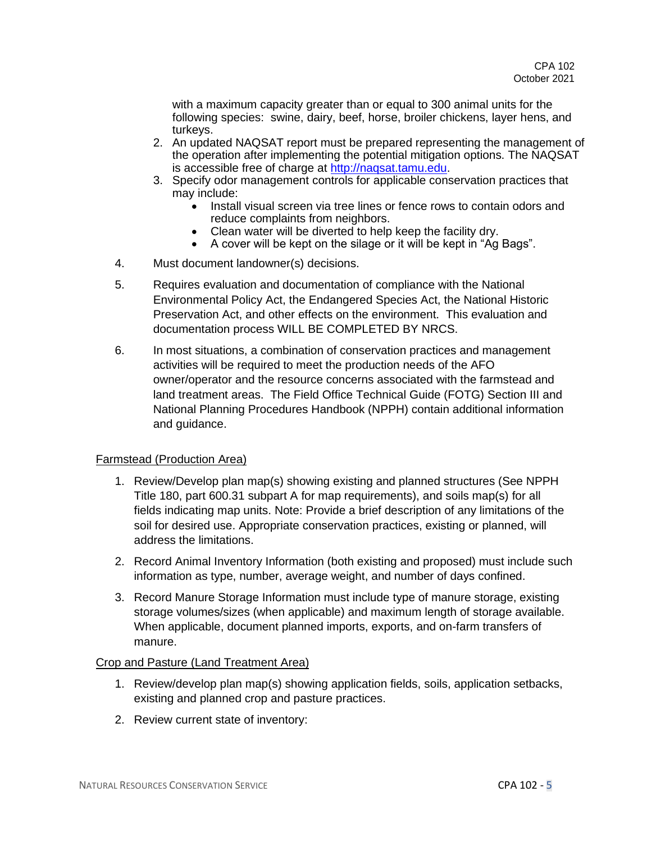with a maximum capacity greater than or equal to 300 animal units for the following species: swine, dairy, beef, horse, broiler chickens, layer hens, and turkeys.

- 2. An updated NAQSAT report must be prepared representing the management of the operation after implementing the potential mitigation options. The NAQSAT is accessible free of charge at [http://naqsat.tamu.edu.](http://naqsat.tamu.edu/)
- 3. Specify odor management controls for applicable conservation practices that may include:
	- Install visual screen via tree lines or fence rows to contain odors and reduce complaints from neighbors.
	- Clean water will be diverted to help keep the facility dry.
	- A cover will be kept on the silage or it will be kept in "Ag Bags".
- 4. Must document landowner(s) decisions.
- 5. Requires evaluation and documentation of compliance with the National Environmental Policy Act, the Endangered Species Act, the National Historic Preservation Act, and other effects on the environment. This evaluation and documentation process WILL BE COMPLETED BY NRCS.
- 6. In most situations, a combination of conservation practices and management activities will be required to meet the production needs of the AFO owner/operator and the resource concerns associated with the farmstead and land treatment areas. The Field Office Technical Guide (FOTG) Section III and National Planning Procedures Handbook (NPPH) contain additional information and guidance.

# Farmstead (Production Area)

- 1. Review/Develop plan map(s) showing existing and planned structures (See NPPH Title 180, part 600.31 subpart A for map requirements), and soils map(s) for all fields indicating map units. Note: Provide a brief description of any limitations of the soil for desired use. Appropriate conservation practices, existing or planned, will address the limitations.
- 2. Record Animal Inventory Information (both existing and proposed) must include such information as type, number, average weight, and number of days confined.
- 3. Record Manure Storage Information must include type of manure storage, existing storage volumes/sizes (when applicable) and maximum length of storage available. When applicable, document planned imports, exports, and on-farm transfers of manure.

#### Crop and Pasture (Land Treatment Area)

- 1. Review/develop plan map(s) showing application fields, soils, application setbacks, existing and planned crop and pasture practices.
- 2. Review current state of inventory: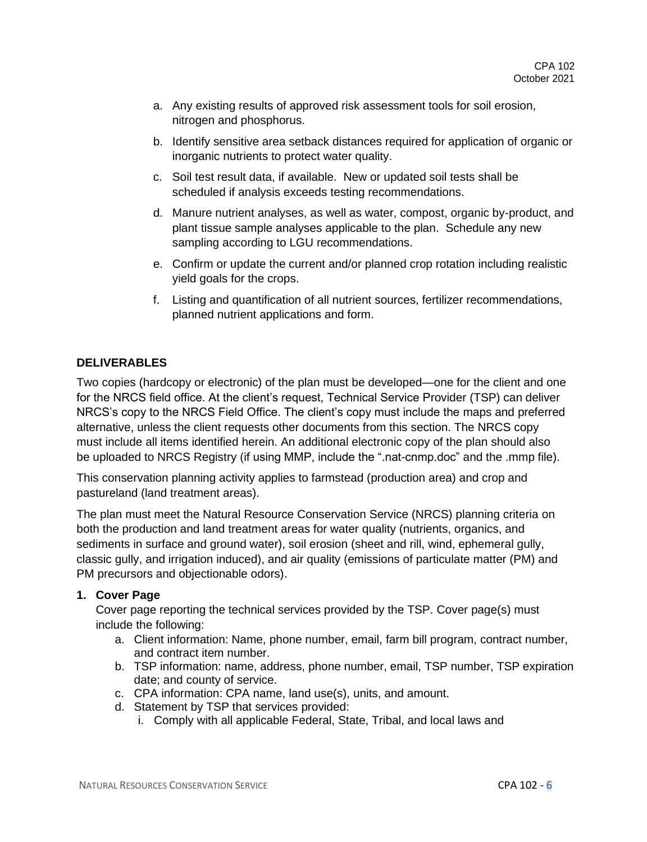- a. Any existing results of approved risk assessment tools for soil erosion, nitrogen and phosphorus.
- b. Identify sensitive area setback distances required for application of organic or inorganic nutrients to protect water quality.
- c. Soil test result data, if available. New or updated soil tests shall be scheduled if analysis exceeds testing recommendations.
- d. Manure nutrient analyses, as well as water, compost, organic by-product, and plant tissue sample analyses applicable to the plan. Schedule any new sampling according to LGU recommendations.
- e. Confirm or update the current and/or planned crop rotation including realistic yield goals for the crops.
- f. Listing and quantification of all nutrient sources, fertilizer recommendations, planned nutrient applications and form.

# **DELIVERABLES**

Two copies (hardcopy or electronic) of the plan must be developed—one for the client and one for the NRCS field office. At the client's request, Technical Service Provider (TSP) can deliver NRCS's copy to the NRCS Field Office. The client's copy must include the maps and preferred alternative, unless the client requests other documents from this section. The NRCS copy must include all items identified herein. An additional electronic copy of the plan should also be uploaded to NRCS Registry (if using MMP, include the ".nat-cnmp.doc" and the .mmp file).

This conservation planning activity applies to farmstead (production area) and crop and pastureland (land treatment areas).

The plan must meet the Natural Resource Conservation Service (NRCS) planning criteria on both the production and land treatment areas for water quality (nutrients, organics, and sediments in surface and ground water), soil erosion (sheet and rill, wind, ephemeral gully, classic gully, and irrigation induced), and air quality (emissions of particulate matter (PM) and PM precursors and objectionable odors).

# **1. Cover Page**

Cover page reporting the technical services provided by the TSP. Cover page(s) must include the following:

- a. Client information: Name, phone number, email, farm bill program, contract number, and contract item number.
- b. TSP information: name, address, phone number, email, TSP number, TSP expiration date; and county of service.
- c. CPA information: CPA name, land use(s), units, and amount.
- d. Statement by TSP that services provided:
	- i. Comply with all applicable Federal, State, Tribal, and local laws and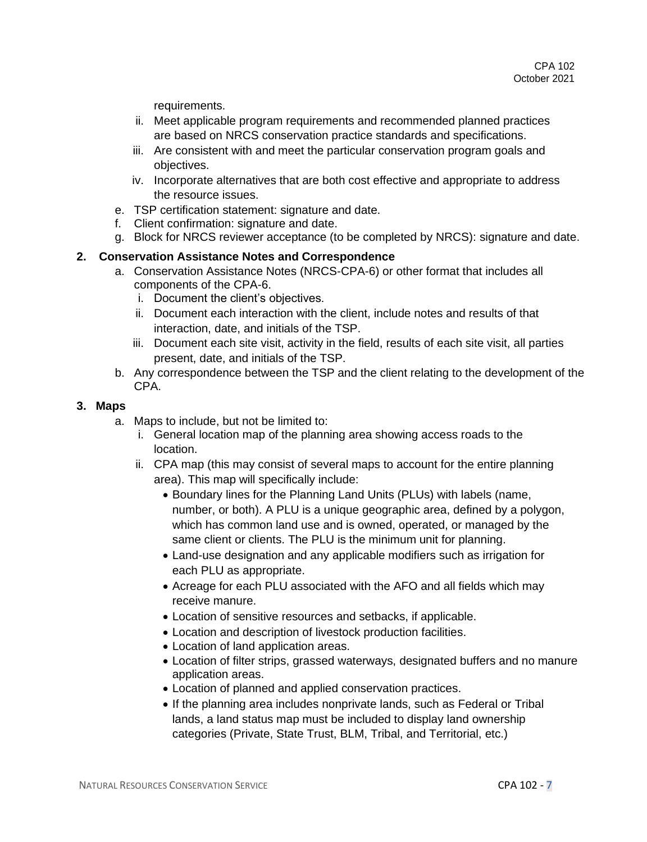requirements.

- ii. Meet applicable program requirements and recommended planned practices are based on NRCS conservation practice standards and specifications.
- iii. Are consistent with and meet the particular conservation program goals and objectives.
- iv. Incorporate alternatives that are both cost effective and appropriate to address the resource issues.
- e. TSP certification statement: signature and date.
- f. Client confirmation: signature and date.
- g. Block for NRCS reviewer acceptance (to be completed by NRCS): signature and date.

#### **2. Conservation Assistance Notes and Correspondence**

- a. Conservation Assistance Notes (NRCS-CPA-6) or other format that includes all components of the CPA-6.
	- i. Document the client's objectives.
	- ii. Document each interaction with the client, include notes and results of that interaction, date, and initials of the TSP.
	- iii. Document each site visit, activity in the field, results of each site visit, all parties present, date, and initials of the TSP.
- b. Any correspondence between the TSP and the client relating to the development of the CPA.

#### **3. Maps**

- a. Maps to include, but not be limited to:
	- i. General location map of the planning area showing access roads to the location.
	- ii. CPA map (this may consist of several maps to account for the entire planning area). This map will specifically include:
		- Boundary lines for the Planning Land Units (PLUs) with labels (name, number, or both). A PLU is a unique geographic area, defined by a polygon, which has common land use and is owned, operated, or managed by the same client or clients. The PLU is the minimum unit for planning.
		- Land-use designation and any applicable modifiers such as irrigation for each PLU as appropriate.
		- Acreage for each PLU associated with the AFO and all fields which may receive manure.
		- Location of sensitive resources and setbacks, if applicable.
		- Location and description of livestock production facilities.
		- Location of land application areas.
		- Location of filter strips, grassed waterways, designated buffers and no manure application areas.
		- Location of planned and applied conservation practices.
		- If the planning area includes nonprivate lands, such as Federal or Tribal lands, a land status map must be included to display land ownership categories (Private, State Trust, BLM, Tribal, and Territorial, etc.)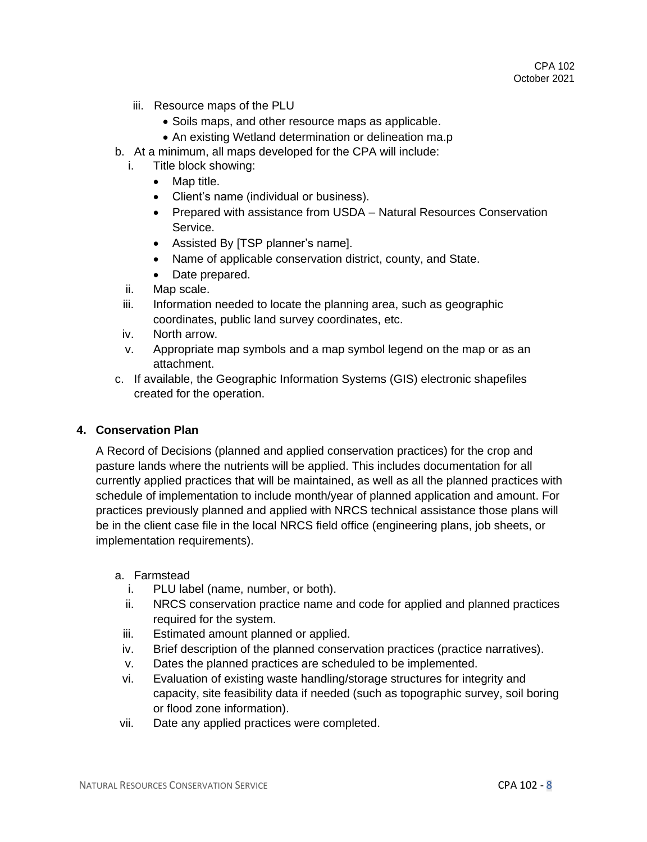- iii. Resource maps of the PLU
	- Soils maps, and other resource maps as applicable.
	- An existing Wetland determination or delineation ma.p
- b. At a minimum, all maps developed for the CPA will include:
	- i. Title block showing:
		- Map title.
		- Client's name (individual or business).
		- Prepared with assistance from USDA Natural Resources Conservation Service.
		- Assisted By [TSP planner's name].
		- Name of applicable conservation district, county, and State.
		- Date prepared.
	- ii. Map scale.
	- iii. Information needed to locate the planning area, such as geographic coordinates, public land survey coordinates, etc.
	- iv. North arrow.
	- v. Appropriate map symbols and a map symbol legend on the map or as an attachment.
- c. If available, the Geographic Information Systems (GIS) electronic shapefiles created for the operation.

# **4. Conservation Plan**

A Record of Decisions (planned and applied conservation practices) for the crop and pasture lands where the nutrients will be applied. This includes documentation for all currently applied practices that will be maintained, as well as all the planned practices with schedule of implementation to include month/year of planned application and amount. For practices previously planned and applied with NRCS technical assistance those plans will be in the client case file in the local NRCS field office (engineering plans, job sheets, or implementation requirements).

- a. Farmstead
	- i. PLU label (name, number, or both).
	- ii. NRCS conservation practice name and code for applied and planned practices required for the system.
	- iii. Estimated amount planned or applied.
	- iv. Brief description of the planned conservation practices (practice narratives).
	- v. Dates the planned practices are scheduled to be implemented.
	- vi. Evaluation of existing waste handling/storage structures for integrity and capacity, site feasibility data if needed (such as topographic survey, soil boring or flood zone information).
- vii. Date any applied practices were completed.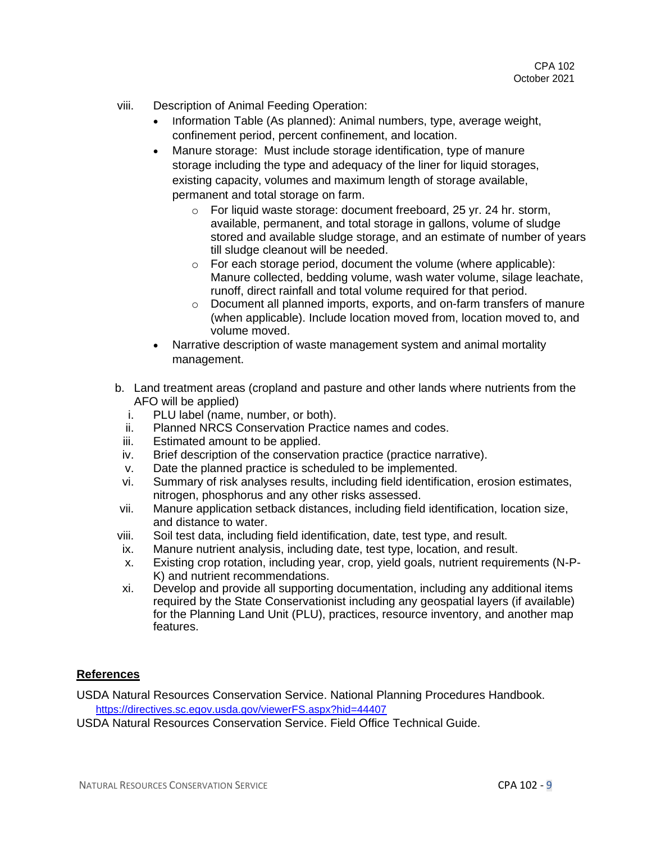- viii. Description of Animal Feeding Operation:
	- Information Table (As planned): Animal numbers, type, average weight, confinement period, percent confinement, and location.
	- Manure storage: Must include storage identification, type of manure storage including the type and adequacy of the liner for liquid storages, existing capacity, volumes and maximum length of storage available, permanent and total storage on farm.
		- o For liquid waste storage: document freeboard, 25 yr. 24 hr. storm, available, permanent, and total storage in gallons, volume of sludge stored and available sludge storage, and an estimate of number of years till sludge cleanout will be needed.
		- o For each storage period, document the volume (where applicable): Manure collected, bedding volume, wash water volume, silage leachate, runoff, direct rainfall and total volume required for that period.
		- o Document all planned imports, exports, and on-farm transfers of manure (when applicable). Include location moved from, location moved to, and volume moved.
	- Narrative description of waste management system and animal mortality management.
- b. Land treatment areas (cropland and pasture and other lands where nutrients from the AFO will be applied)
	- i. PLU label (name, number, or both).
	- ii. Planned NRCS Conservation Practice names and codes.
	- iii. Estimated amount to be applied.
	- iv. Brief description of the conservation practice (practice narrative).
	- v. Date the planned practice is scheduled to be implemented.
	- vi. Summary of risk analyses results, including field identification, erosion estimates, nitrogen, phosphorus and any other risks assessed.
- vii. Manure application setback distances, including field identification, location size, and distance to water.
- viii. Soil test data, including field identification, date, test type, and result.
- ix. Manure nutrient analysis, including date, test type, location, and result.
- x. Existing crop rotation, including year, crop, yield goals, nutrient requirements (N-P-K) and nutrient recommendations.
- xi. Develop and provide all supporting documentation, including any additional items required by the State Conservationist including any geospatial layers (if available) for the Planning Land Unit (PLU), practices, resource inventory, and another map features.

# **References**

USDA Natural Resources Conservation Service. National Planning Procedures Handbook. <https://directives.sc.egov.usda.gov/viewerFS.aspx?hid=44407>

USDA Natural Resources Conservation Service. Field Office Technical Guide.